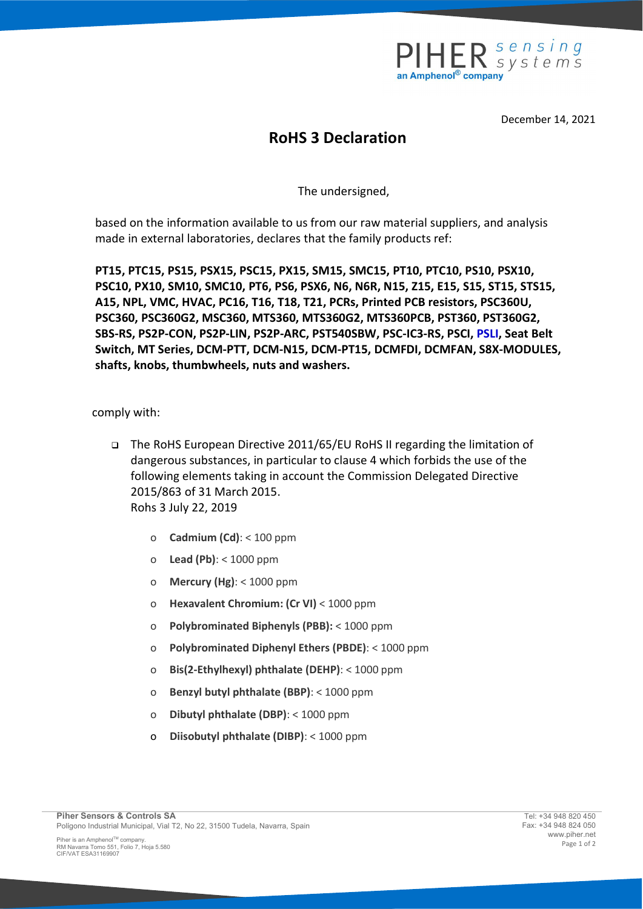

December 14, 2021

## RoHS 3 Declaration

The undersigned,

based on the information available to us from our raw material suppliers, and analysis made in external laboratories, declares that the family products ref:

PT15, PTC15, PS15, PSX15, PSC15, PX15, SM15, SMC15, PT10, PTC10, PS10, PSX10, PSC10, PX10, SM10, SMC10, PT6, PS6, PSX6, N6, N6R, N15, Z15, E15, S15, ST15, STS15, A15, NPL, VMC, HVAC, PC16, T16, T18, T21, PCRs, Printed PCB resistors, PSC360U, PSC360, PSC360G2, MSC360, MTS360, MTS360G2, MTS360PCB, PST360, PST360G2, SBS-RS, PS2P-CON, PS2P-LIN, PS2P-ARC, PST540SBW, PSC-IC3-RS, PSCI, PSLI, Seat Belt Switch, MT Series, DCM-PTT, DCM-N15, DCM-PT15, DCMFDI, DCMFAN, S8X-MODULES, shafts, knobs, thumbwheels, nuts and washers.

comply with:

- The RoHS European Directive 2011/65/EU RoHS II regarding the limitation of dangerous substances, in particular to clause 4 which forbids the use of the following elements taking in account the Commission Delegated Directive 2015/863 of 31 March 2015. Rohs 3 July 22, 2019
	- o Cadmium (Cd): < 100 ppm
	- o Lead (Pb): < 1000 ppm
	- o Mercury (Hg):  $<$  1000 ppm
	- o Hexavalent Chromium: (Cr VI) < 1000 ppm
	- o Polybrominated Biphenyls (PBB): < 1000 ppm
	- o Polybrominated Diphenyl Ethers (PBDE): < 1000 ppm
	- o Bis(2-Ethylhexyl) phthalate (DEHP): < 1000 ppm
	- o Benzyl butyl phthalate (BBP): < 1000 ppm
	- o Dibutyl phthalate (DBP): < 1000 ppm
	- o Diisobutyl phthalate (DIBP): < 1000 ppm